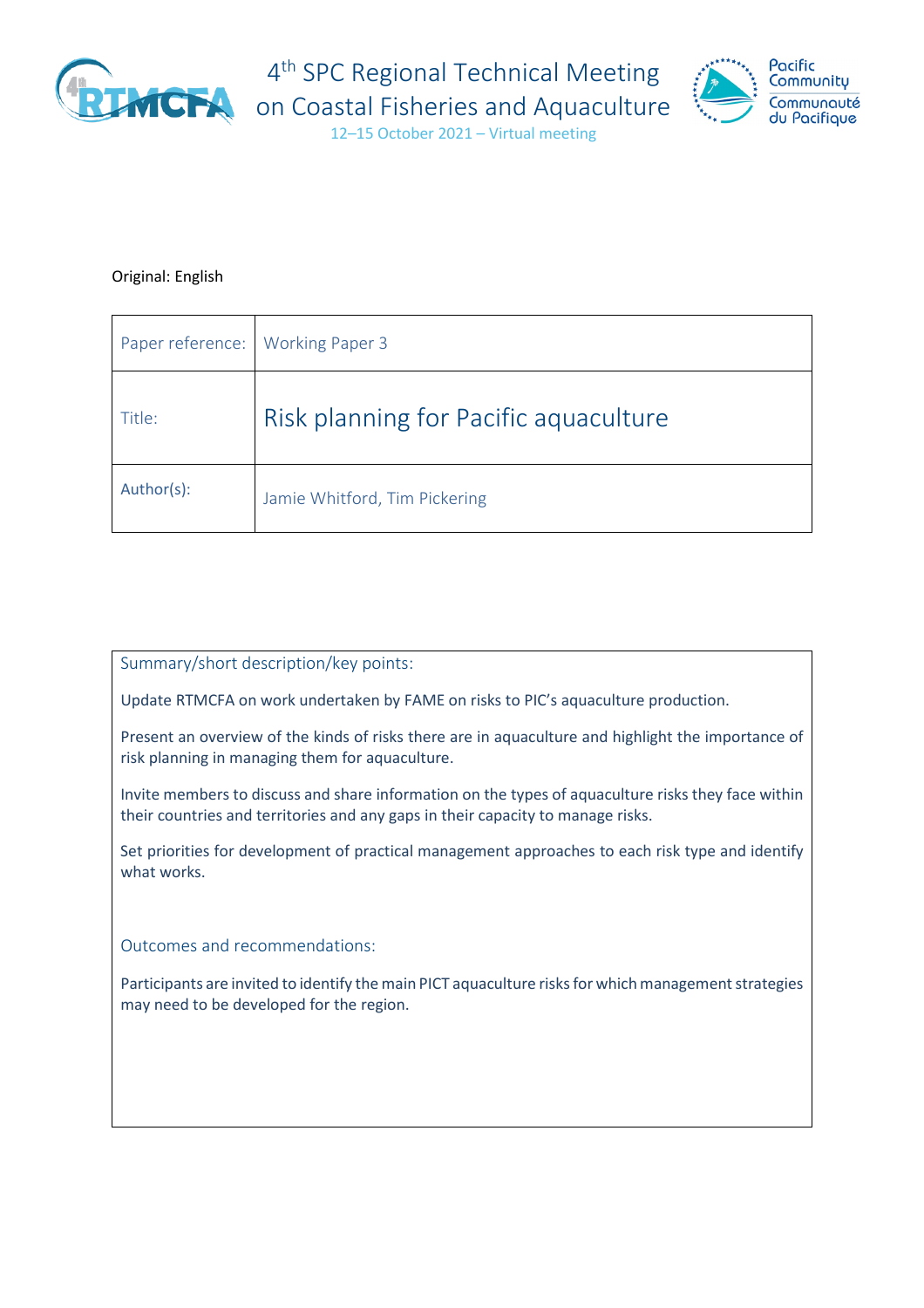

4<sup>th</sup> SPC Regional Technical Meeting



12–15 October 2021 – Virtual meeting

## Original: English

| Paper reference: | <b>Working Paper 3</b>                |
|------------------|---------------------------------------|
| Title:           | Risk planning for Pacific aquaculture |
| Author(s):       | Jamie Whitford, Tim Pickering         |

## Summary/short description/key points:

Update RTMCFA on work undertaken by FAME on risks to PIC's aquaculture production.

Present an overview of the kinds of risks there are in aquaculture and highlight the importance of risk planning in managing them for aquaculture.

Invite members to discuss and share information on the types of aquaculture risks they face within their countries and territories and any gaps in their capacity to manage risks.

Set priorities for development of practical management approaches to each risk type and identify what works.

Outcomes and recommendations:

Participants are invited to identify the main PICT aquaculture risks for which management strategies may need to be developed for the region.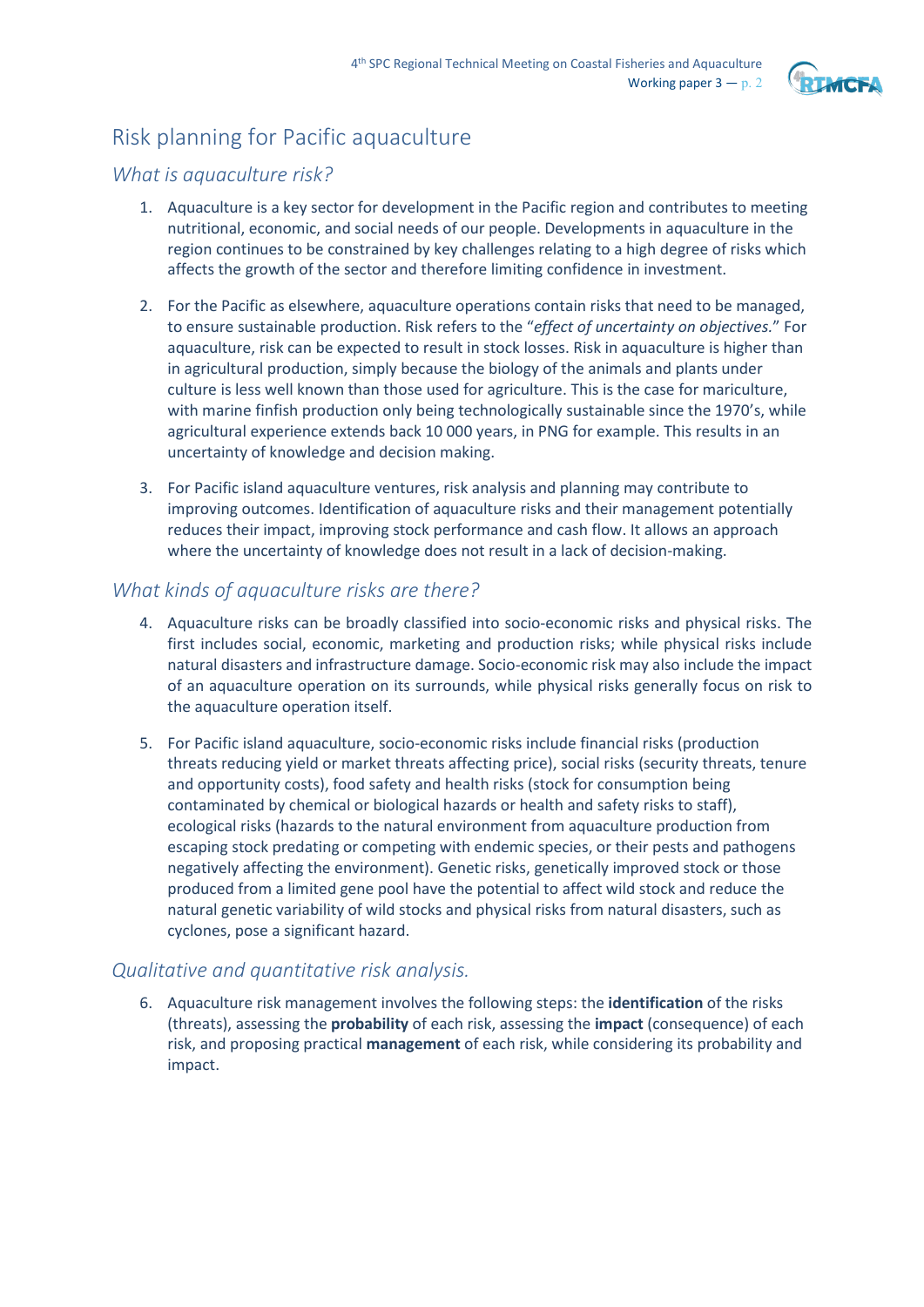

# Risk planning for Pacific aquaculture

# *What is aquaculture risk?*

- 1. Aquaculture is a key sector for development in the Pacific region and contributes to meeting nutritional, economic, and social needs of our people. Developments in aquaculture in the region continues to be constrained by key challenges relating to a high degree of risks which affects the growth of the sector and therefore limiting confidence in investment.
- 2. For the Pacific as elsewhere, aquaculture operations contain risks that need to be managed, to ensure sustainable production. Risk refers to the "*effect of uncertainty on objectives.*" For aquaculture, risk can be expected to result in stock losses. Risk in aquaculture is higher than in agricultural production, simply because the biology of the animals and plants under culture is less well known than those used for agriculture. This is the case for mariculture, with marine finfish production only being technologically sustainable since the 1970's, while agricultural experience extends back 10 000 years, in PNG for example. This results in an uncertainty of knowledge and decision making.
- 3. For Pacific island aquaculture ventures, risk analysis and planning may contribute to improving outcomes. Identification of aquaculture risks and their management potentially reduces their impact, improving stock performance and cash flow. It allows an approach where the uncertainty of knowledge does not result in a lack of decision-making.

# *What kinds of aquaculture risks are there?*

- 4. Aquaculture risks can be broadly classified into socio-economic risks and physical risks. The first includes social, economic, marketing and production risks; while physical risks include natural disasters and infrastructure damage. Socio-economic risk may also include the impact of an aquaculture operation on its surrounds, while physical risks generally focus on risk to the aquaculture operation itself.
- 5. For Pacific island aquaculture, socio-economic risks include financial risks (production threats reducing yield or market threats affecting price), social risks (security threats, tenure and opportunity costs), food safety and health risks (stock for consumption being contaminated by chemical or biological hazards or health and safety risks to staff), ecological risks (hazards to the natural environment from aquaculture production from escaping stock predating or competing with endemic species, or their pests and pathogens negatively affecting the environment). Genetic risks, genetically improved stock or those produced from a limited gene pool have the potential to affect wild stock and reduce the natural genetic variability of wild stocks and physical risks from natural disasters, such as cyclones, pose a significant hazard.

# *Qualitative and quantitative risk analysis.*

6. Aquaculture risk management involves the following steps: the **identification** of the risks (threats), assessing the **probability** of each risk, assessing the **impact** (consequence) of each risk, and proposing practical **management** of each risk, while considering its probability and impact.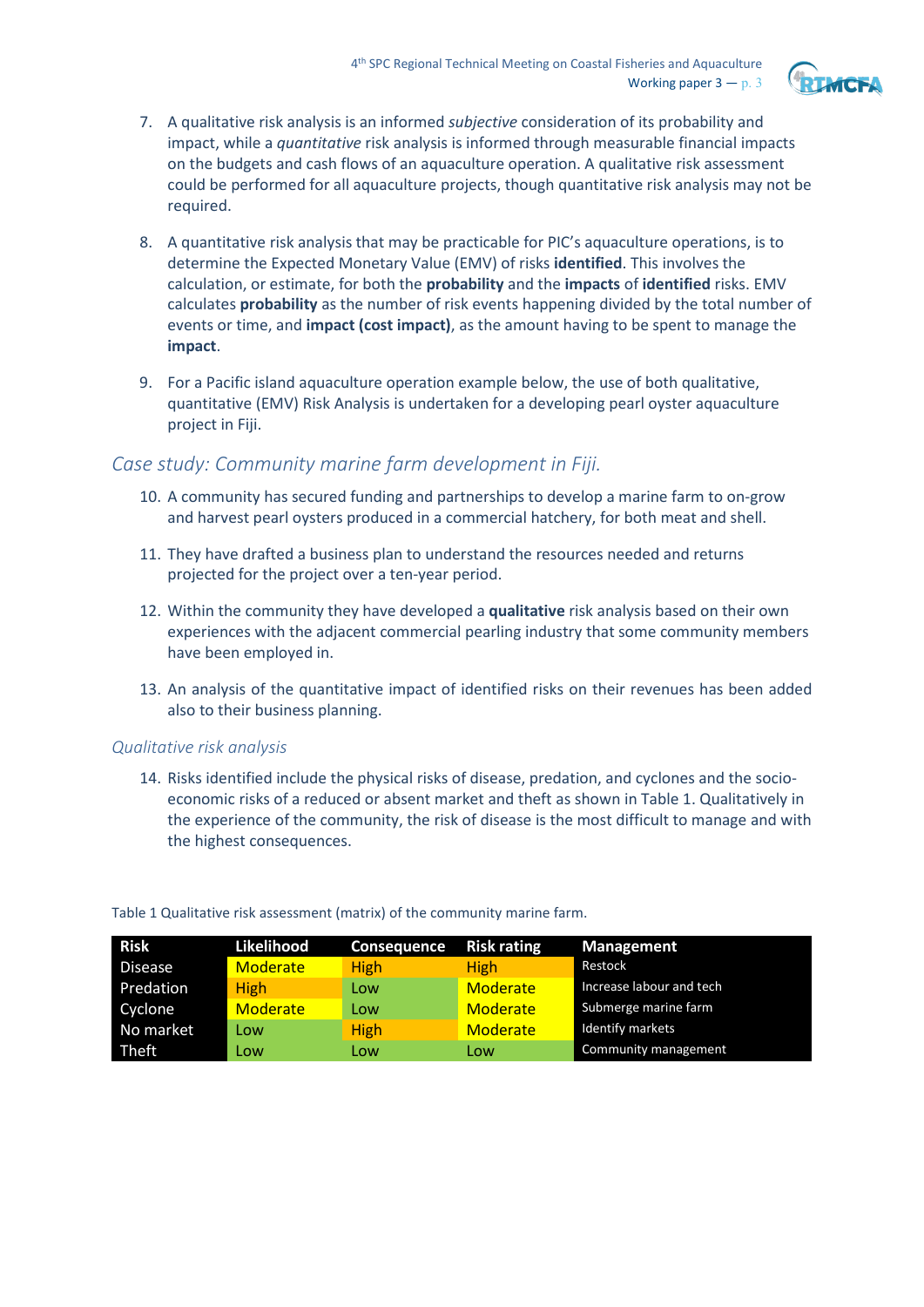

- 7. A qualitative risk analysis is an informed *subjective* consideration of its probability and impact, while a *quantitative* risk analysis is informed through measurable financial impacts on the budgets and cash flows of an aquaculture operation. A qualitative risk assessment could be performed for all aquaculture projects, though quantitative risk analysis may not be required.
- 8. A quantitative risk analysis that may be practicable for PIC's aquaculture operations, is to determine the Expected Monetary Value (EMV) of risks **identified**. This involves the calculation, or estimate, for both the **probability** and the **impacts** of **identified** risks. EMV calculates **probability** as the number of risk events happening divided by the total number of events or time, and **impact (cost impact)**, as the amount having to be spent to manage the **impact**.
- 9. For a Pacific island aquaculture operation example below, the use of both qualitative, quantitative (EMV) Risk Analysis is undertaken for a developing pearl oyster aquaculture project in Fiji.

# *Case study: Community marine farm development in Fiji.*

- 10. A community has secured funding and partnerships to develop a marine farm to on-grow and harvest pearl oysters produced in a commercial hatchery, for both meat and shell.
- 11. They have drafted a business plan to understand the resources needed and returns projected for the project over a ten-year period.
- 12. Within the community they have developed a **qualitative** risk analysis based on their own experiences with the adjacent commercial pearling industry that some community members have been employed in.
- 13. An analysis of the quantitative impact of identified risks on their revenues has been added also to their business planning.

#### *Qualitative risk analysis*

14. Risks identified include the physical risks of disease, predation, and cyclones and the socioeconomic risks of a reduced or absent market and theft as shown in Table 1. Qualitatively in the experience of the community, the risk of disease is the most difficult to manage and with the highest consequences.

| Risk           | Likelihood      | <b>Consequence</b> | <b>Risk rating</b> | <b>Management</b>        |
|----------------|-----------------|--------------------|--------------------|--------------------------|
| <b>Disease</b> | <b>Moderate</b> | <b>High</b>        | <b>High</b>        | Restock                  |
| Predation      | <b>High</b>     | Low                | Moderate           | Increase labour and tech |
| Cyclone        | <b>Moderate</b> | Low                | <b>Moderate</b>    | Submerge marine farm     |
| No market      | Low             | <b>High</b>        | Moderate           | <b>Identify markets</b>  |
| Theft          | Low             | Low                | Low                | Community management     |

#### Table 1 Qualitative risk assessment (matrix) of the community marine farm.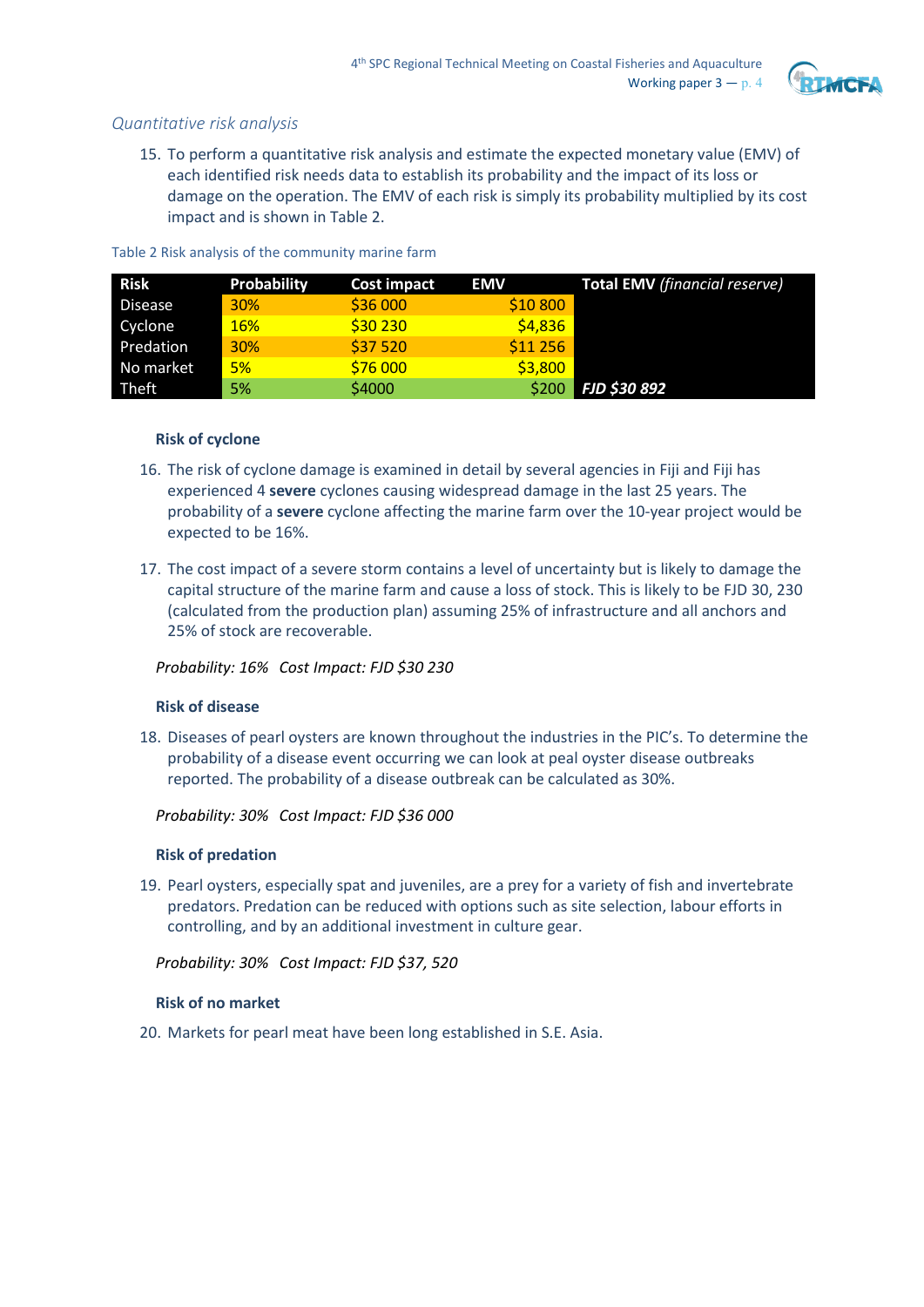

## *Quantitative risk analysis*

15. To perform a quantitative risk analysis and estimate the expected monetary value (EMV) of each identified risk needs data to establish its probability and the impact of its loss or damage on the operation. The EMV of each risk is simply its probability multiplied by its cost impact and is shown in Table 2.

| <b>Risk</b>  | <b>Probability</b> | <b>Cost impact</b> | <b>EMV</b> | <b>Total EMV</b> (financial reserve) |
|--------------|--------------------|--------------------|------------|--------------------------------------|
| Disease      | 30%                | \$36 000           | \$10 800   |                                      |
| Cyclone      | <b>16%</b>         | \$30 230           | \$4,836    |                                      |
| Predation    | 30%                | \$37 520           | \$11 256   |                                      |
| No market    | 5%                 | \$76 000           | \$3,800    |                                      |
| <b>Theft</b> | 5%                 | \$4000             | \$200      | <b>FJD \$30 892</b>                  |

Table 2 Risk analysis of the community marine farm

#### **Risk of cyclone**

- 16. The risk of cyclone damage is examined in detail by several agencies in Fiji and Fiji has experienced 4 **severe** cyclones causing widespread damage in the last 25 years. The probability of a **severe** cyclone affecting the marine farm over the 10-year project would be expected to be 16%.
- 17. The cost impact of a severe storm contains a level of uncertainty but is likely to damage the capital structure of the marine farm and cause a loss of stock. This is likely to be FJD 30, 230 (calculated from the production plan) assuming 25% of infrastructure and all anchors and 25% of stock are recoverable.

#### *Probability: 16% Cost Impact: FJD \$30 230*

#### **Risk of disease**

18. Diseases of pearl oysters are known throughout the industries in the PIC's. To determine the probability of a disease event occurring we can look at peal oyster disease outbreaks reported. The probability of a disease outbreak can be calculated as 30%.

*Probability: 30% Cost Impact: FJD \$36 000*

#### **Risk of predation**

19. Pearl oysters, especially spat and juveniles, are a prey for a variety of fish and invertebrate predators. Predation can be reduced with options such as site selection, labour efforts in controlling, and by an additional investment in culture gear.

*Probability: 30% Cost Impact: FJD \$37, 520*

#### **Risk of no market**

20. Markets for pearl meat have been long established in S.E. Asia.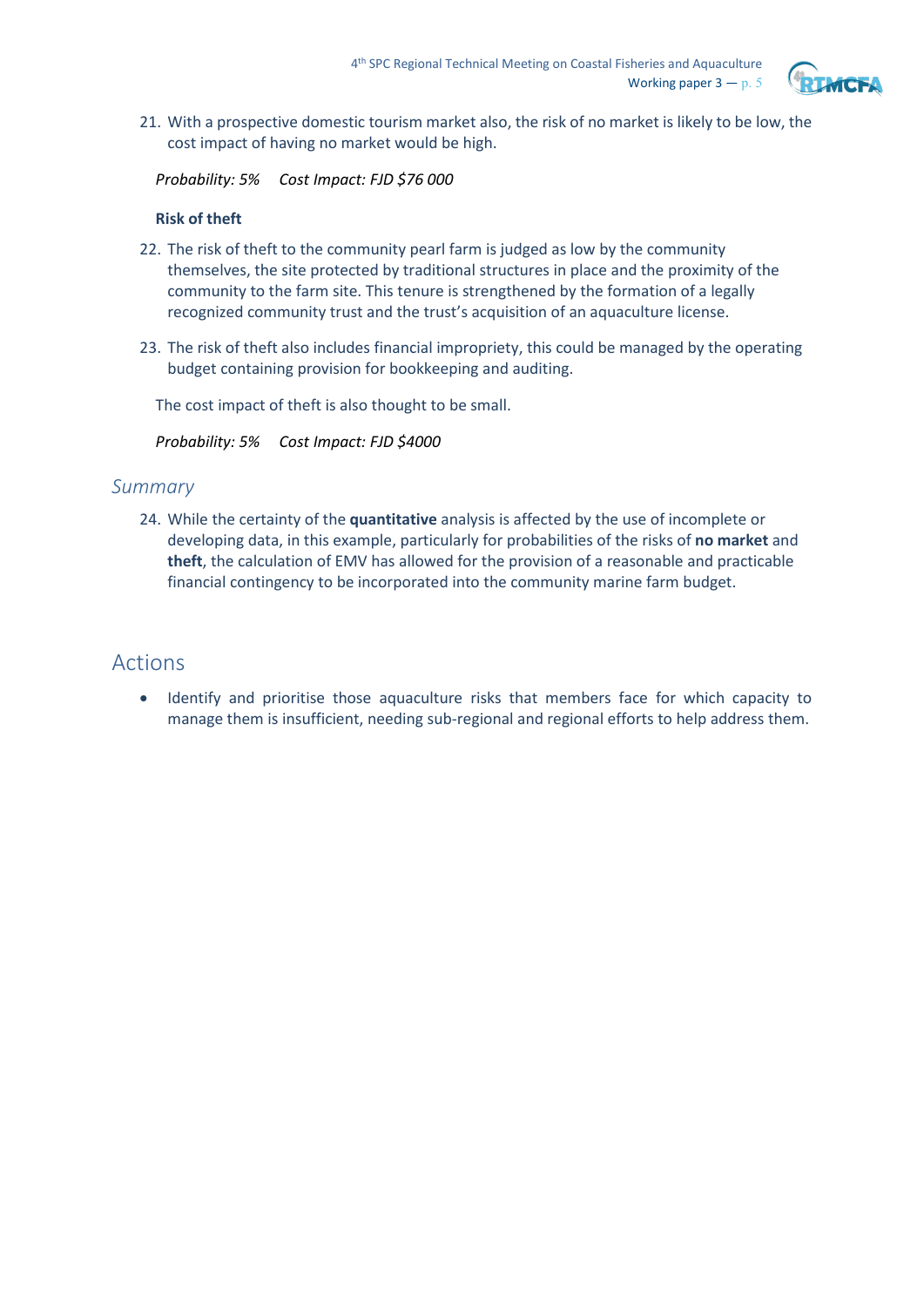

21. With a prospective domestic tourism market also, the risk of no market is likely to be low, the cost impact of having no market would be high.

*Probability: 5% Cost Impact: FJD \$76 000*

#### **Risk of theft**

- 22. The risk of theft to the community pearl farm is judged as low by the community themselves, the site protected by traditional structures in place and the proximity of the community to the farm site. This tenure is strengthened by the formation of a legally recognized community trust and the trust's acquisition of an aquaculture license.
- 23. The risk of theft also includes financial impropriety, this could be managed by the operating budget containing provision for bookkeeping and auditing.

The cost impact of theft is also thought to be small.

*Probability: 5% Cost Impact: FJD \$4000*

## *Summary*

24. While the certainty of the **quantitative** analysis is affected by the use of incomplete or developing data, in this example, particularly for probabilities of the risks of **no market** and **theft**, the calculation of EMV has allowed for the provision of a reasonable and practicable financial contingency to be incorporated into the community marine farm budget.

# Actions

• Identify and prioritise those aquaculture risks that members face for which capacity to manage them is insufficient, needing sub-regional and regional efforts to help address them.